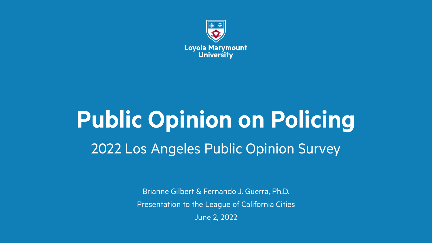

## **Public Opinion on Policing** 2022 Los Angeles Public Opinion Survey

Brianne Gilbert & Fernando J. Guerra, Ph.D. Presentation to the League of California Cities June 2, 2022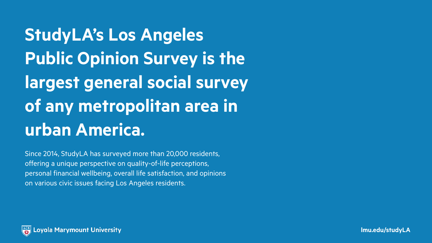**StudyLA's Los Angeles Public Opinion Survey is the largest general social survey of any metropolitan area in urban America.**

Since 2014, StudyLA has surveyed more than 20,000 residents, offering a unique perspective on quality-of-life perceptions, personal financial wellbeing, overall life satisfaction, and opinions on various civic issues facing Los Angeles residents.

**lmu.edu/studyLA**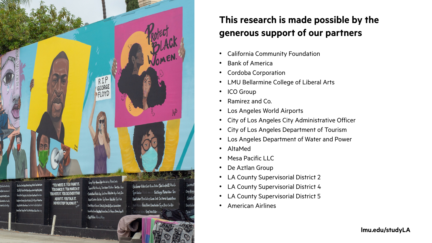

#### **This research is made possible by the generous support of our partners**

- California Community Foundation
- Bank of America
- Cordoba Corporation
- LMU Bellarmine College of Liberal Arts
- ICO Group
- Ramirez and Co.
- Los Angeles World Airports
- City of Los Angeles City Administrative Officer
- City of Los Angeles Department of Tourism
- Los Angeles Department of Water and Power
- AltaMed
- Mesa Pacific LLC
- De Aztlan Group
- LA County Supervisorial District 2
- LA County Supervisorial District 4
- LA County Supervisorial District 5
- American Airlines

**lmu.edu/studyLA**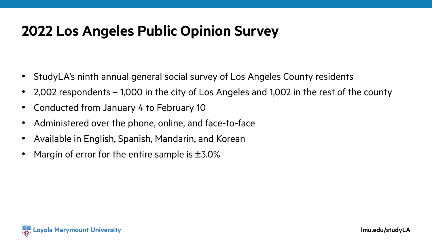## **2022 Los Angeles Public Opinion Survey**

- StudyLA's ninth annual general social survey of Los Angeles County residents
- 2,002 respondents 1,000 in the city of Los Angeles and 1,002 in the rest of the county
- Conducted from January 4 to February 10
- Administered over the phone, online, and face-to-face
- Available in English, Spanish, Mandarin, and Korean
- Margin of error for the entire sample is  $\pm$ 3.0%

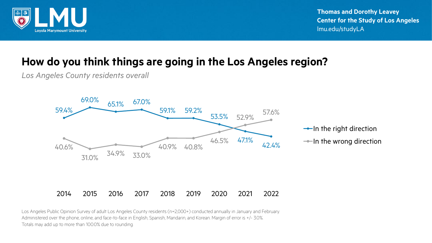

**Thomas and Dorothy Leavey Center for the Study of Los Angeles** lmu.edu/studyLA

#### **How do you think things are going in the Los Angeles region?**

*Los Angeles County residents overall*



 $\rightarrow$ In the right direction  $\rightarrow$ In the wrong direction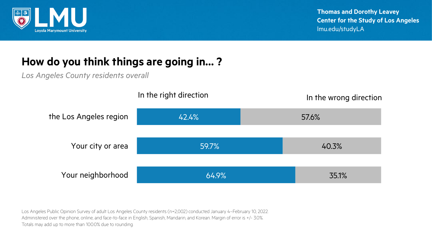

#### **How do you think things are going in… ?**

*Los Angeles County residents overall*

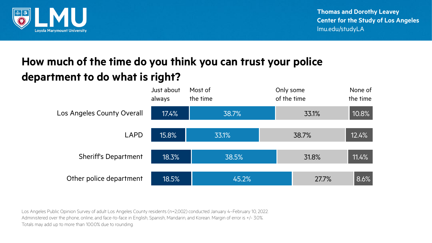

**Thomas and Dorothy Leavey Center for the Study of Los Angeles** lmu.edu/studyLA

#### **How much of the time do you think you can trust your police department to do what is right?**

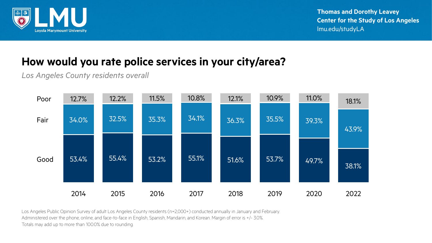

#### **How would you rate police services in your city/area?**

*Los Angeles County residents overall*

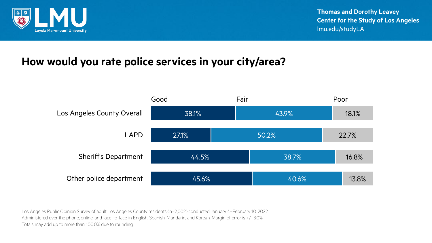

#### **How would you rate police services in your city/area?**

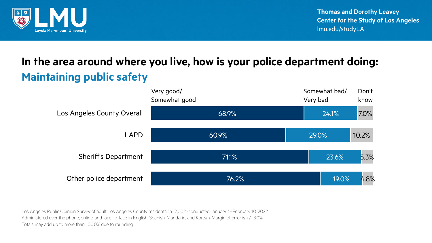

## **In the area around where you live, how is your police department doing: Maintaining public safety**

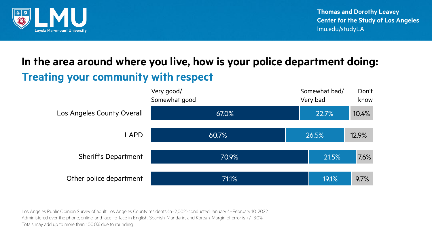

## **In the area around where you live, how is your police department doing: Treating your community with respect**

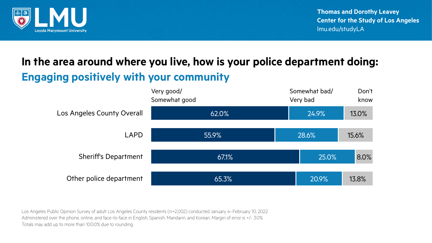

## **In the area around where you live, how is your police department doing: Engaging positively with your community**

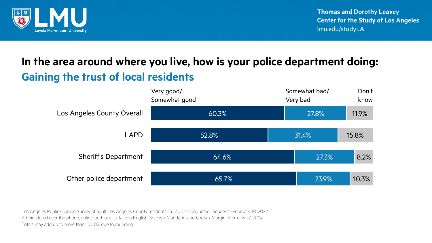

## **In the area around where you live, how is your police department doing: Gaining the trust of local residents**

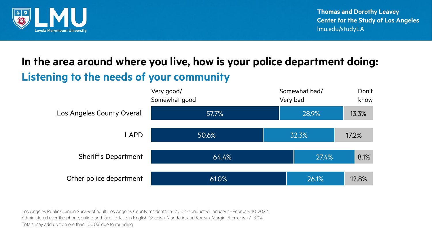

## **In the area around where you live, how is your police department doing: Listening to the needs of your community**

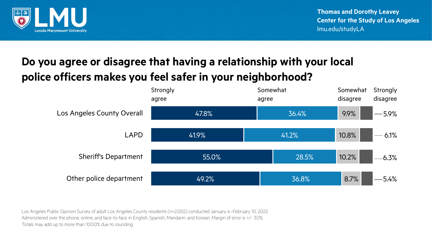

#### **Do you agree or disagree that having a relationship with your local police officers makes you feel safer in your neighborhood?**

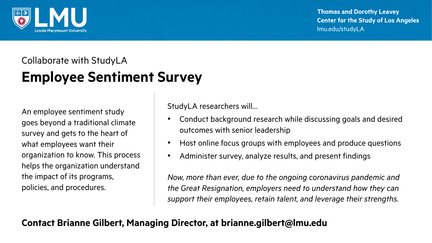

**Thomas and Dorothy Leavey Center for the Study of Los Angeles** lmu.edu/studyLA

## Collaborate with StudyLA **Employee Sentiment Survey**

An employee sentiment study goes beyond a traditional climate survey and gets to the heart of what employees want their organization to know. This process helps the organization understand the impact of its programs, policies, and procedures.

StudyLA researchers will…

- Conduct background research while discussing goals and desired outcomes with senior leadership
- Host online focus groups with employees and produce questions
- Administer survey, analyze results, and present findings

*Now, more than ever, due to the ongoing coronavirus pandemic and the Great Resignation, employers need to understand how they can support their employees, retain talent, and leverage their strengths.*

#### **Contact Brianne Gilbert, Managing Director, at brianne.gilbert@lmu.edu**